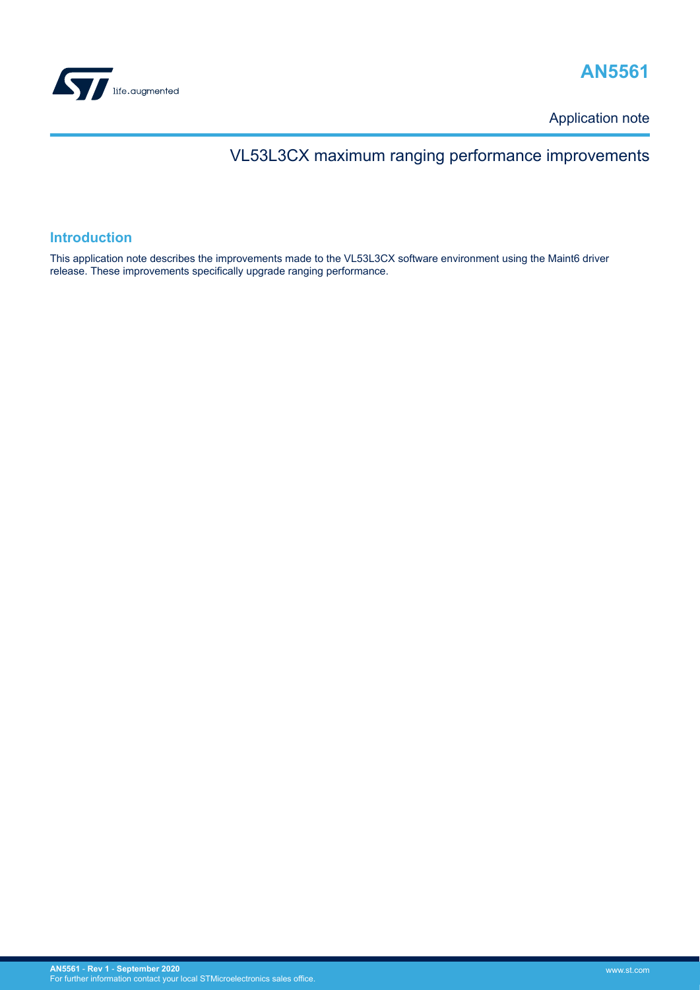



Application note

# VL53L3CX maximum ranging performance improvements

## **Introduction**

This application note describes the improvements made to the VL53L3CX software environment using the Maint6 driver release. These improvements specifically upgrade ranging performance.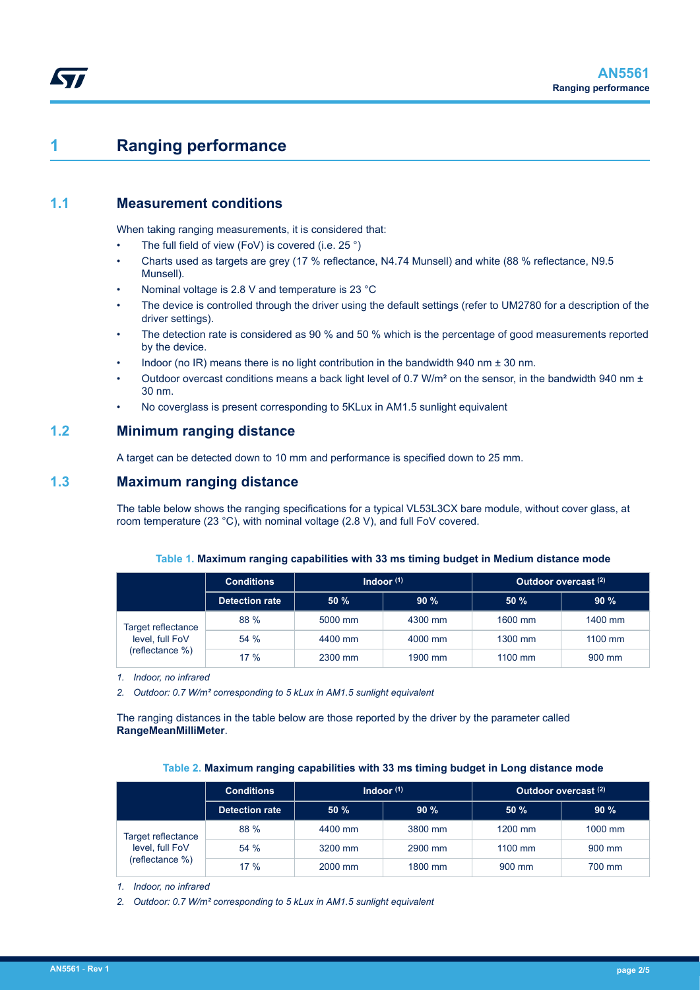# **1 Ranging performance**

## **1.1 Measurement conditions**

When taking ranging measurements, it is considered that:

- The full field of view (FoV) is covered (i.e. 25 $\degree$ )
- Charts used as targets are grey (17 % reflectance, N4.74 Munsell) and white (88 % reflectance, N9.5 Munsell).
- Nominal voltage is 2.8 V and temperature is 23 °C
- The device is controlled through the driver using the default settings (refer to UM2780 for a description of the driver settings).
- The detection rate is considered as 90 % and 50 % which is the percentage of good measurements reported by the device.
- Indoor (no IR) means there is no light contribution in the bandwidth 940 nm  $\pm$  30 nm.
- Outdoor overcast conditions means a back light level of 0.7 W/m² on the sensor, in the bandwidth 940 nm ± 30 nm.
- No coverglass is present corresponding to 5KLux in AM1.5 sunlight equivalent

## **1.2 Minimum ranging distance**

A target can be detected down to 10 mm and performance is specified down to 25 mm.

## **1.3 Maximum ranging distance**

The table below shows the ranging specifications for a typical VL53L3CX bare module, without cover glass, at room temperature (23 °C), with nominal voltage (2.8 V), and full FoV covered.

| Table 1. Maximum ranging capabilities with 33 ms timing budget in Medium distance mode |
|----------------------------------------------------------------------------------------|
|----------------------------------------------------------------------------------------|

|                                                          | <b>Conditions</b>     | Indoor $(1)$ |         | Outdoor overcast <sup>(2)</sup> |                  |  |
|----------------------------------------------------------|-----------------------|--------------|---------|---------------------------------|------------------|--|
|                                                          | <b>Detection rate</b> | 50%          | 90%     | 50%                             | 90%              |  |
| Target reflectance<br>level, full FoV<br>(reflectance %) | 88 %                  | 5000 mm      | 4300 mm | 1600 mm                         | 1400 mm          |  |
|                                                          | 54%                   | 4400 mm      | 4000 mm | 1300 mm                         | $1100$ mm        |  |
|                                                          | 17%                   | 2300 mm      | 1900 mm | 1100 mm                         | $900 \text{ mm}$ |  |

*1. Indoor, no infrared*

*2. Outdoor: 0.7 W/m² corresponding to 5 kLux in AM1.5 sunlight equivalent*

The ranging distances in the table below are those reported by the driver by the parameter called **RangeMeanMilliMeter**.

#### **Table 2. Maximum ranging capabilities with 33 ms timing budget in Long distance mode**

|                                                          | <b>Conditions</b>     | Indoor $(1)$ |         | Outdoor overcast <sup>(2)</sup> |         |
|----------------------------------------------------------|-----------------------|--------------|---------|---------------------------------|---------|
|                                                          | <b>Detection rate</b> | 50%          | 90%     | 50%                             | 90%     |
| Target reflectance<br>level, full FoV<br>(reflectance %) | 88 %                  | 4400 mm      | 3800 mm | 1200 mm                         | 1000 mm |
|                                                          | 54%                   | 3200 mm      | 2900 mm | $1100$ mm                       | 900 mm  |
|                                                          | 17%                   | 2000 mm      | 1800 mm | 900 mm                          | 700 mm  |

*1. Indoor, no infrared*

*2. Outdoor: 0.7 W/m² corresponding to 5 kLux in AM1.5 sunlight equivalent*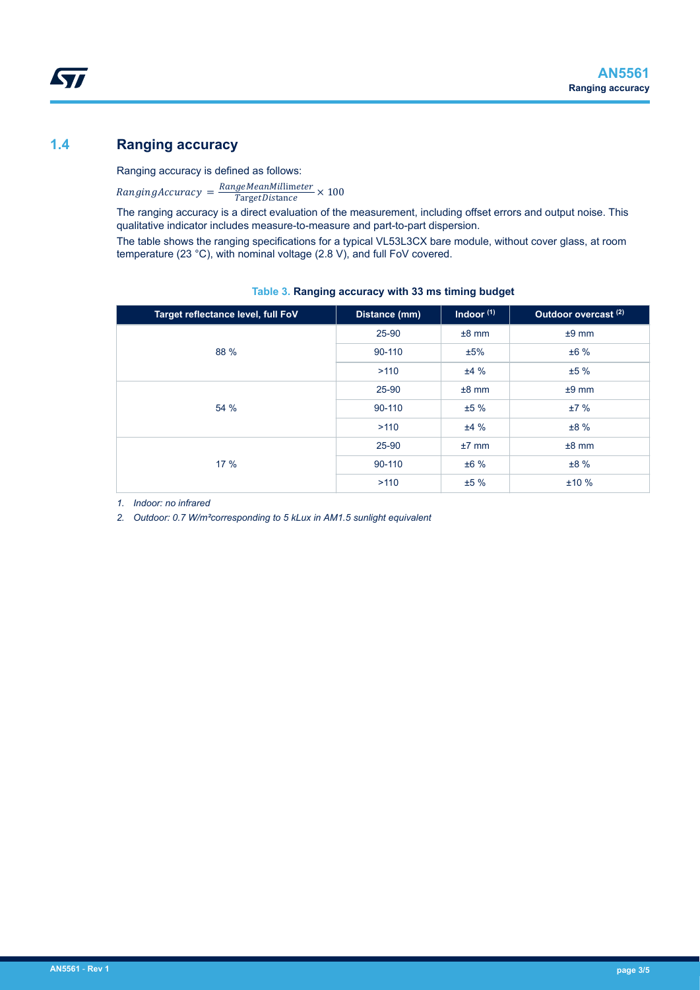## **1.4 Ranging accuracy**

*kyi* 

Ranging accuracy is defined as follows:

 $Ranging Accuracy = \frac{RangeMeanMillimeter}{TargetDistance} \times 100$ TargetDistance

The ranging accuracy is a direct evaluation of the measurement, including offset errors and output noise. This qualitative indicator includes measure-to-measure and part-to-part dispersion.

The table shows the ranging specifications for a typical VL53L3CX bare module, without cover glass, at room temperature (23 °C), with nominal voltage (2.8 V), and full FoV covered.

| Target reflectance level, full FoV | Distance (mm) | Indoor $(1)$ | Outdoor overcast <sup>(2)</sup> |
|------------------------------------|---------------|--------------|---------------------------------|
|                                    | 25-90         | $±8$ mm      | $±9$ mm                         |
| 88 %                               | 90-110        | ±5%          | ±6%                             |
|                                    | >110          | ±4%          | ±5%                             |
|                                    | 25-90         | $±8$ mm      | $±9$ mm                         |
| 54 %                               | 90-110        | ±5%          | ±7%                             |
|                                    | >110          | ±4%          | ±8%                             |
|                                    | 25-90         | $±7$ mm      | $±8$ mm                         |
| 17%                                | 90-110        | ±6%          | ±8%                             |
|                                    | >110          | ±5%          | ±10%                            |

### **Table 3. Ranging accuracy with 33 ms timing budget**

*1. Indoor: no infrared*

*2. Outdoor: 0.7 W/m²corresponding to 5 kLux in AM1.5 sunlight equivalent*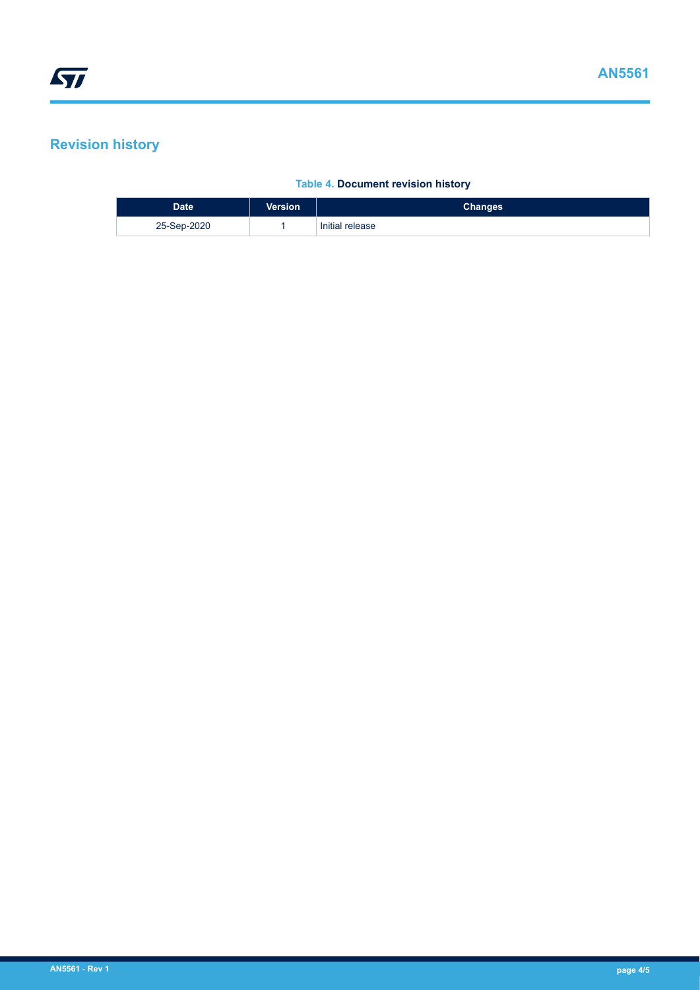# **Revision history**

### **Table 4. Document revision history**

| <b>Date</b> | <b>Version</b> | <b>Changes</b>  |
|-------------|----------------|-----------------|
| 25-Sep-2020 |                | Initial release |